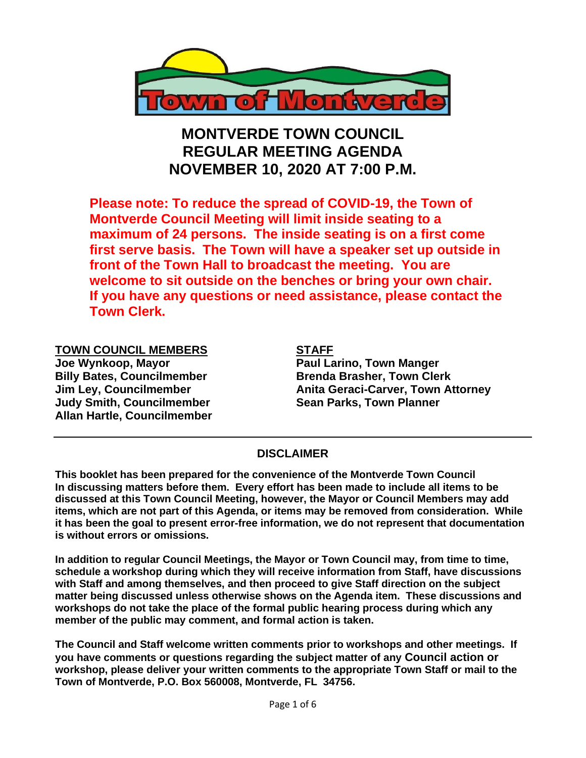

# **MONTVERDE TOWN COUNCIL REGULAR MEETING AGENDA NOVEMBER 10, 2020 AT 7:00 P.M.**

**Please note: To reduce the spread of COVID-19, the Town of Montverde Council Meeting will limit inside seating to a maximum of 24 persons. The inside seating is on a first come first serve basis. The Town will have a speaker set up outside in front of the Town Hall to broadcast the meeting. You are welcome to sit outside on the benches or bring your own chair. If you have any questions or need assistance, please contact the Town Clerk.**

**TOWN COUNCIL MEMBERS STAFF Joe Wynkoop, Mayor Network Communist Paul Larino, Town Manger Billy Bates, Councilmember Brenda Brasher, Town Clerk Judy Smith, Councilmember Sean Parks, Town Planner Allan Hartle, Councilmember** 

**Jim Ley, Councilmember Canita Geraci-Carver, Town Attorney** 

#### **DISCLAIMER**

**This booklet has been prepared for the convenience of the Montverde Town Council In discussing matters before them. Every effort has been made to include all items to be discussed at this Town Council Meeting, however, the Mayor or Council Members may add items, which are not part of this Agenda, or items may be removed from consideration. While it has been the goal to present error-free information, we do not represent that documentation is without errors or omissions.**

**In addition to regular Council Meetings, the Mayor or Town Council may, from time to time, schedule a workshop during which they will receive information from Staff, have discussions with Staff and among themselves, and then proceed to give Staff direction on the subject matter being discussed unless otherwise shows on the Agenda item. These discussions and workshops do not take the place of the formal public hearing process during which any member of the public may comment, and formal action is taken.** 

**The Council and Staff welcome written comments prior to workshops and other meetings. If you have comments or questions regarding the subject matter of any Council action or workshop, please deliver your written comments to the appropriate Town Staff or mail to the Town of Montverde, P.O. Box 560008, Montverde, FL 34756.**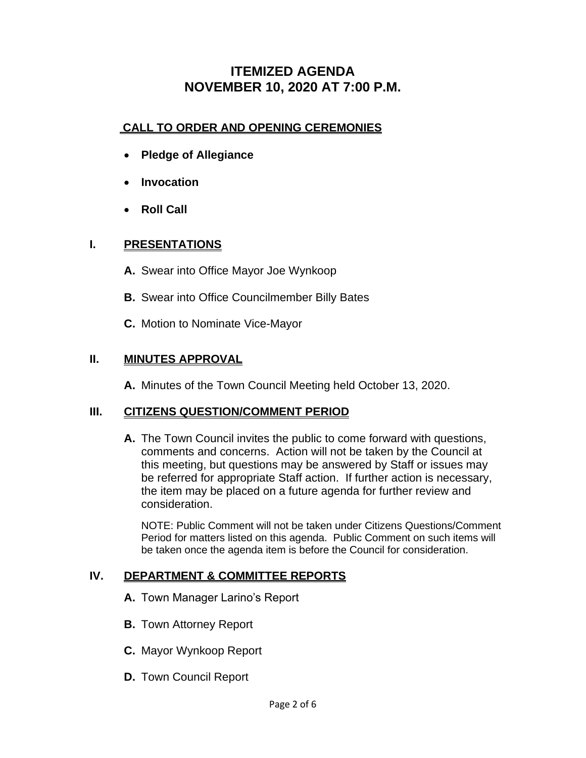# **ITEMIZED AGENDA NOVEMBER 10, 2020 AT 7:00 P.M.**

#### **CALL TO ORDER AND OPENING CEREMONIES**

- **Pledge of Allegiance**
- **Invocation**
- **Roll Call**

#### **I. PRESENTATIONS**

- **A.** Swear into Office Mayor Joe Wynkoop
- **B.** Swear into Office Councilmember Billy Bates
- **C.** Motion to Nominate Vice-Mayor

#### **II. MINUTES APPROVAL**

**A.** Minutes of the Town Council Meeting held October 13, 2020.

#### **III. CITIZENS QUESTION/COMMENT PERIOD**

**A.** The Town Council invites the public to come forward with questions, comments and concerns. Action will not be taken by the Council at this meeting, but questions may be answered by Staff or issues may be referred for appropriate Staff action. If further action is necessary, the item may be placed on a future agenda for further review and consideration.

NOTE: Public Comment will not be taken under Citizens Questions/Comment Period for matters listed on this agenda. Public Comment on such items will be taken once the agenda item is before the Council for consideration.

### **IV. DEPARTMENT & COMMITTEE REPORTS**

- **A.** Town Manager Larino's Report
- **B.** Town Attorney Report
- **C.** Mayor Wynkoop Report
- **D.** Town Council Report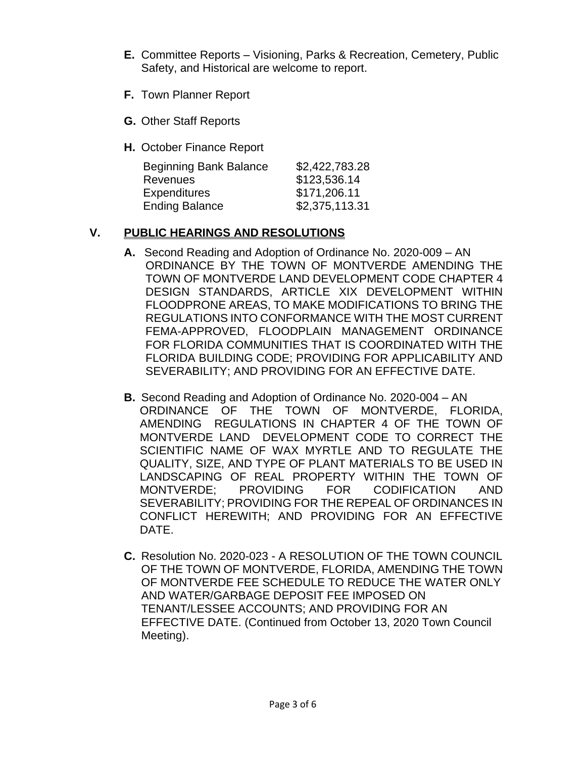- **E.** Committee Reports Visioning, Parks & Recreation, Cemetery, Public Safety, and Historical are welcome to report.
- **F.** Town Planner Report
- **G.** Other Staff Reports
- **H.** October Finance Report

| <b>Beginning Bank Balance</b> | \$2,422,783.28 |
|-------------------------------|----------------|
| <b>Revenues</b>               | \$123,536.14   |
| <b>Expenditures</b>           | \$171,206.11   |
| <b>Ending Balance</b>         | \$2,375,113.31 |

## **V. PUBLIC HEARINGS AND RESOLUTIONS**

- **A.** Second Reading and Adoption of Ordinance No. 2020-009 AN ORDINANCE BY THE TOWN OF MONTVERDE AMENDING THE TOWN OF MONTVERDE LAND DEVELOPMENT CODE CHAPTER 4 DESIGN STANDARDS, ARTICLE XIX DEVELOPMENT WITHIN FLOODPRONE AREAS, TO MAKE MODIFICATIONS TO BRING THE REGULATIONS INTO CONFORMANCE WITH THE MOST CURRENT FEMA-APPROVED, FLOODPLAIN MANAGEMENT ORDINANCE FOR FLORIDA COMMUNITIES THAT IS COORDINATED WITH THE FLORIDA BUILDING CODE; PROVIDING FOR APPLICABILITY AND SEVERABILITY; AND PROVIDING FOR AN EFFECTIVE DATE.
- **B.** Second Reading and Adoption of Ordinance No. 2020-004 AN ORDINANCE OF THE TOWN OF MONTVERDE, FLORIDA, AMENDING REGULATIONS IN CHAPTER 4 OF THE TOWN OF MONTVERDE LAND DEVELOPMENT CODE TO CORRECT THE SCIENTIFIC NAME OF WAX MYRTLE AND TO REGULATE THE QUALITY, SIZE, AND TYPE OF PLANT MATERIALS TO BE USED IN LANDSCAPING OF REAL PROPERTY WITHIN THE TOWN OF MONTVERDE; PROVIDING FOR CODIFICATION AND SEVERABILITY; PROVIDING FOR THE REPEAL OF ORDINANCES IN CONFLICT HEREWITH; AND PROVIDING FOR AN EFFECTIVE DATE.
- **C.** Resolution No. 2020-023 A RESOLUTION OF THE TOWN COUNCIL OF THE TOWN OF MONTVERDE, FLORIDA, AMENDING THE TOWN OF MONTVERDE FEE SCHEDULE TO REDUCE THE WATER ONLY AND WATER/GARBAGE DEPOSIT FEE IMPOSED ON TENANT/LESSEE ACCOUNTS; AND PROVIDING FOR AN EFFECTIVE DATE. (Continued from October 13, 2020 Town Council Meeting).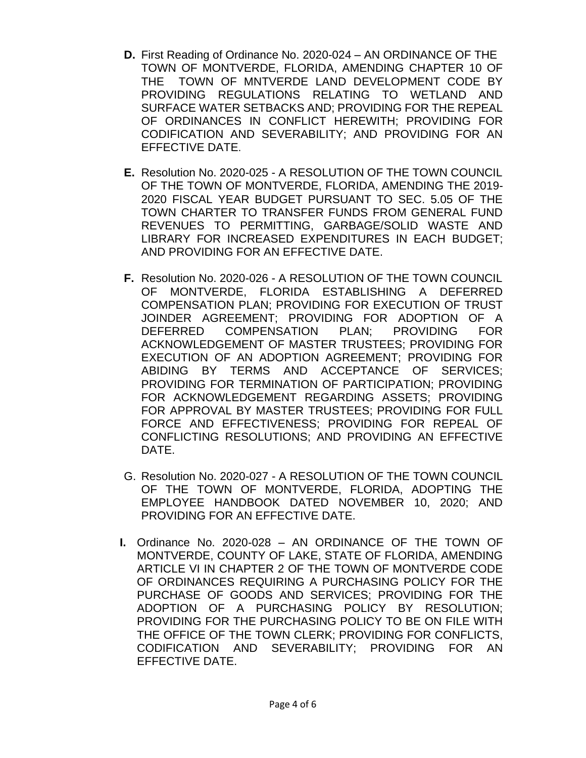- **D.** First Reading of Ordinance No. 2020-024 AN ORDINANCE OF THE TOWN OF MONTVERDE, FLORIDA, AMENDING CHAPTER 10 OF THE TOWN OF MNTVERDE LAND DEVELOPMENT CODE BY PROVIDING REGULATIONS RELATING TO WETLAND AND SURFACE WATER SETBACKS AND; PROVIDING FOR THE REPEAL OF ORDINANCES IN CONFLICT HEREWITH; PROVIDING FOR CODIFICATION AND SEVERABILITY; AND PROVIDING FOR AN EFFECTIVE DATE.
- **E.** Resolution No. 2020-025 A RESOLUTION OF THE TOWN COUNCIL OF THE TOWN OF MONTVERDE, FLORIDA, AMENDING THE 2019- 2020 FISCAL YEAR BUDGET PURSUANT TO SEC. 5.05 OF THE TOWN CHARTER TO TRANSFER FUNDS FROM GENERAL FUND REVENUES TO PERMITTING, GARBAGE/SOLID WASTE AND LIBRARY FOR INCREASED EXPENDITURES IN EACH BUDGET; AND PROVIDING FOR AN EFFECTIVE DATE.
- **F.** Resolution No. 2020-026 A RESOLUTION OF THE TOWN COUNCIL OF MONTVERDE, FLORIDA ESTABLISHING A DEFERRED COMPENSATION PLAN; PROVIDING FOR EXECUTION OF TRUST JOINDER AGREEMENT; PROVIDING FOR ADOPTION OF A DEFERRED COMPENSATION PLAN; PROVIDING FOR ACKNOWLEDGEMENT OF MASTER TRUSTEES; PROVIDING FOR EXECUTION OF AN ADOPTION AGREEMENT; PROVIDING FOR ABIDING BY TERMS AND ACCEPTANCE OF SERVICES; PROVIDING FOR TERMINATION OF PARTICIPATION; PROVIDING FOR ACKNOWLEDGEMENT REGARDING ASSETS; PROVIDING FOR APPROVAL BY MASTER TRUSTEES; PROVIDING FOR FULL FORCE AND EFFECTIVENESS; PROVIDING FOR REPEAL OF CONFLICTING RESOLUTIONS; AND PROVIDING AN EFFECTIVE DATE.
- G. Resolution No. 2020-027 A RESOLUTION OF THE TOWN COUNCIL OF THE TOWN OF MONTVERDE, FLORIDA, ADOPTING THE EMPLOYEE HANDBOOK DATED NOVEMBER 10, 2020; AND PROVIDING FOR AN EFFECTIVE DATE.
- **I.** Ordinance No. 2020-028 AN ORDINANCE OF THE TOWN OF MONTVERDE, COUNTY OF LAKE, STATE OF FLORIDA, AMENDING ARTICLE VI IN CHAPTER 2 OF THE TOWN OF MONTVERDE CODE OF ORDINANCES REQUIRING A PURCHASING POLICY FOR THE PURCHASE OF GOODS AND SERVICES; PROVIDING FOR THE ADOPTION OF A PURCHASING POLICY BY RESOLUTION; PROVIDING FOR THE PURCHASING POLICY TO BE ON FILE WITH THE OFFICE OF THE TOWN CLERK; PROVIDING FOR CONFLICTS, CODIFICATION AND SEVERABILITY; PROVIDING FOR AN EFFECTIVE DATE.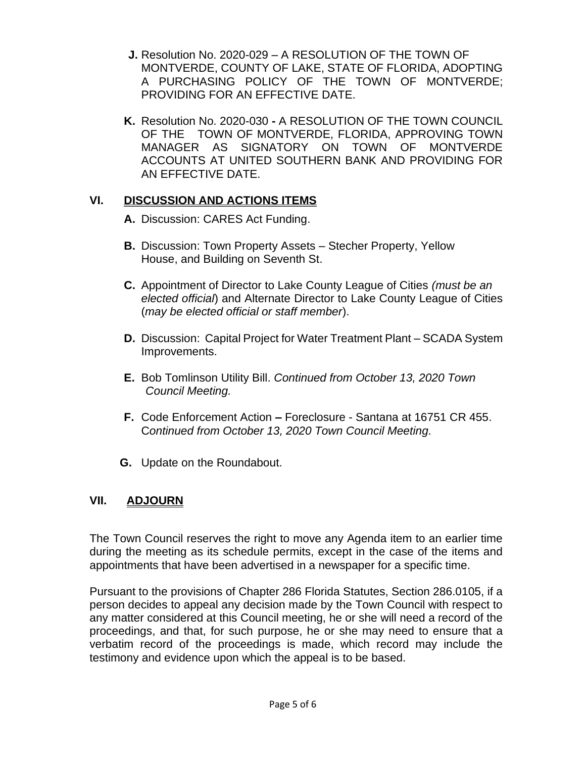- **J.** Resolution No. 2020-029 A RESOLUTION OF THE TOWN OF MONTVERDE, COUNTY OF LAKE, STATE OF FLORIDA, ADOPTING A PURCHASING POLICY OF THE TOWN OF MONTVERDE; PROVIDING FOR AN EFFECTIVE DATE.
- **K.** Resolution No. 2020-030 **-** A RESOLUTION OF THE TOWN COUNCIL OF THE TOWN OF MONTVERDE, FLORIDA, APPROVING TOWN MANAGER AS SIGNATORY ON TOWN OF MONTVERDE ACCOUNTS AT UNITED SOUTHERN BANK AND PROVIDING FOR AN EFFECTIVE DATE.

#### **VI. DISCUSSION AND ACTIONS ITEMS**

- **A.** Discussion: CARES Act Funding.
- **B.** Discussion: Town Property Assets Stecher Property, Yellow House, and Building on Seventh St.
- **C.** Appointment of Director to Lake County League of Cities *(must be an elected official*) and Alternate Director to Lake County League of Cities (*may be elected official or staff member*).
- **D.** Discussion: Capital Project for Water Treatment Plant SCADA System Improvements.
- **E.** Bob Tomlinson Utility Bill. *Continued from October 13, 2020 Town Council Meeting.*
- **F.** Code Enforcement Action **–** Foreclosure Santana at 16751 CR 455. C*ontinued from October 13, 2020 Town Council Meeting.*
- **G.** Update on the Roundabout.

#### **VII. ADJOURN**

The Town Council reserves the right to move any Agenda item to an earlier time during the meeting as its schedule permits, except in the case of the items and appointments that have been advertised in a newspaper for a specific time.

Pursuant to the provisions of Chapter 286 Florida Statutes, Section 286.0105, if a person decides to appeal any decision made by the Town Council with respect to any matter considered at this Council meeting, he or she will need a record of the proceedings, and that, for such purpose, he or she may need to ensure that a verbatim record of the proceedings is made, which record may include the testimony and evidence upon which the appeal is to be based.